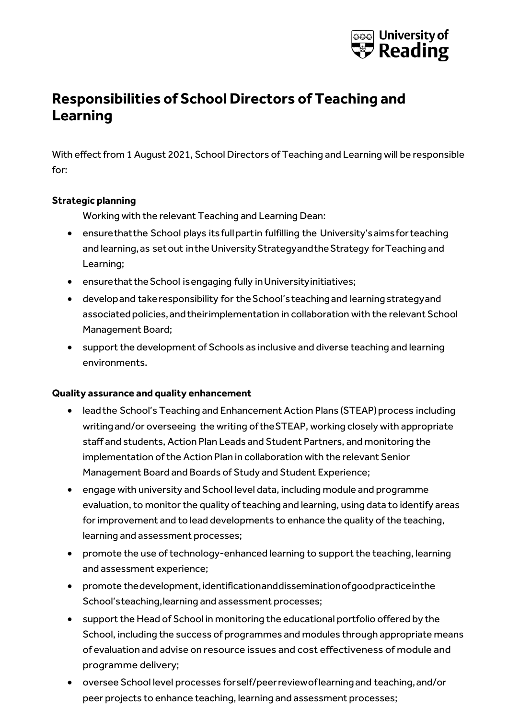

## **Responsibilities of School Directors of Teaching and Learning**

With effect from 1 August 2021, School Directors of Teaching and Learning will be responsible for:

#### **Strategic planning**

Working with the relevant Teaching and Learning Dean:

- ensurethatthe School plays its full partin fulfilling the University's aims for teaching and learning, as set out in the University Strategy and the Strategy for Teaching and Learning;
- ensurethat the School is engaging fully in University initiatives;
- developand takeresponsibility for theSchool'steachingand learningstrategyand associated policies, and their implementation in collaboration with the relevant School Management Board;
- support the development of Schools as inclusive and diverse teaching and learning environments.

#### **Quality assurance and quality enhancement**

- lead the School's Teaching and Enhancement Action Plans (STEAP) process including writingand/or overseeing the writing of theSTEAP, working closely with appropriate staff and students, Action Plan Leads and Student Partners, and monitoring the implementation of the Action Plan in collaboration with the relevant Senior Management Board and Boards of Study and Student Experience;
- engage with university and School level data, including module and programme evaluation, to monitor the quality of teaching and learning, using data to identify areas for improvement and to lead developments to enhance the quality of the teaching, learning and assessment processes;
- promote the use of technology-enhanced learning to support the teaching, learning and assessment experience;
- promote the development, identification and dissemination of good practice in the School'steaching,learning and assessment processes;
- support the Head of School in monitoring the educational portfolio offered by the School, including the success of programmes and modules through appropriate means of evaluation and advise on resource issues and cost effectiveness of module and programme delivery;
- oversee School level processes forself/peerreviewoflearningand teaching,and/or peer projects to enhance teaching, learning and assessment processes;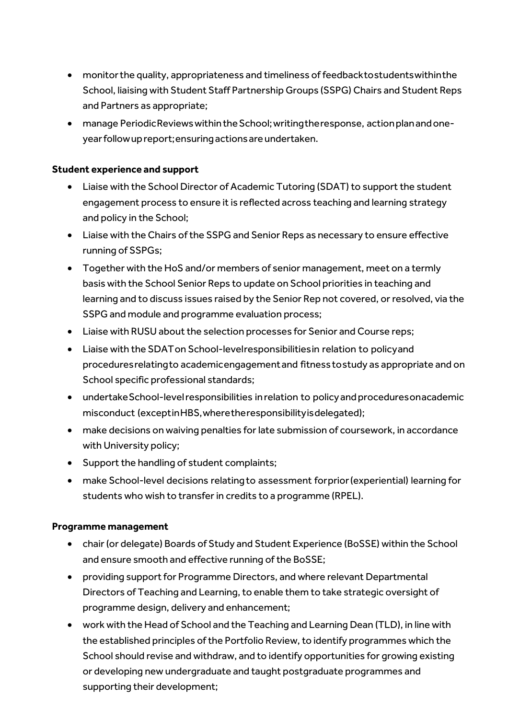- monitorthe quality, appropriateness and timeliness of feedbacktostudentswithinthe School, liaising with Student Staff Partnership Groups (SSPG) Chairs and Student Reps and Partners as appropriate;
- manage PeriodicReviewswithintheSchool;writingtheresponse, actionplanandoneyear follow up report; ensuring actions are undertaken.

#### **Student experience and support**

- Liaise with the School Director of Academic Tutoring (SDAT) to support the student engagement process to ensure it is reflected across teaching and learning strategy and policy in the School;
- Liaise with the Chairs of the SSPG and Senior Reps as necessary to ensure effective running of SSPGs;
- Together with the HoS and/or members of senior management, meet on a termly basis with the School Senior Reps to update on School priorities in teaching and learning and to discuss issues raised by the Senior Rep not covered, or resolved, via the SSPG and module and programme evaluation process;
- Liaise with RUSU about the selection processes for Senior and Course reps;
- Liaise with the SDATon School-levelresponsibilitiesin relation to policyand proceduresrelatingto academicengagementand fitness tostudy as appropriate and on School specific professional standards;
- undertake School-level responsibilities in relation to policy and proceduresonacademic misconduct (exceptinHBS,wheretheresponsibilityisdelegated);
- make decisions on waiving penalties for late submission of coursework, in accordance with University policy;
- Support the handling of student complaints;
- make School-level decisions relatingto assessment forprior(experiential) learning for students who wish to transfer in credits to a programme (RPEL).

#### **Programme management**

- chair (or delegate) Boards of Study and Student Experience (BoSSE) within the School and ensure smooth and effective running of the BoSSE;
- providing support for Programme Directors, and where relevant Departmental Directors of Teaching and Learning, to enable them to take strategic oversight of programme design, delivery and enhancement;
- work with the Head of School and the Teaching and Learning Dean (TLD), in line with the established principles of the Portfolio Review, to identify programmes which the School should revise and withdraw, and to identify opportunities for growing existing or developing new undergraduate and taught postgraduate programmes and supporting their development;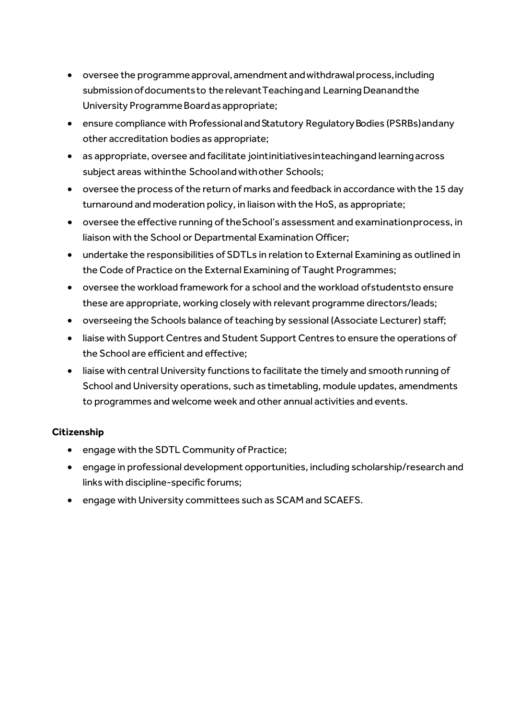- oversee the programme approval, amendment and withdrawal process, including submissionofdocumentsto therelevantTeachingand LearningDeanandthe University ProgrammeBoardasappropriate;
- ensure compliance with Professional and Statutory Regulatory Bodies (PSRBs) and any other accreditation bodies as appropriate;
- as appropriate, oversee and facilitate jointinitiativesinteachingand learningacross subject areas withinthe Schoolandwithother Schools;
- oversee the process of the return of marks and feedback in accordance with the 15 day turnaround and moderation policy, in liaison with the HoS, as appropriate;
- oversee the effective running of theSchool's assessment and examinationprocess, in liaison with the School or Departmental Examination Officer;
- undertake the responsibilities of SDTLs in relation to External Examining as outlined in the Code of Practice on the External Examining of Taught Programmes;
- oversee the workload framework for a school and the workload ofstudentsto ensure these are appropriate, working closely with relevant programme directors/leads;
- overseeing the Schools balance of teaching by sessional (Associate Lecturer) staff;
- liaise with Support Centres and Student Support Centres to ensure the operations of the School are efficient and effective;
- liaise with central University functions to facilitate the timely and smooth running of School and University operations, such as timetabling, module updates, amendments to programmes and welcome week and other annual activities and events.

### **Citizenship**

- engage with the SDTL Community of Practice;
- engage in professional development opportunities, including scholarship/research and links with discipline-specific forums;
- engage with University committees such as SCAM and SCAEFS.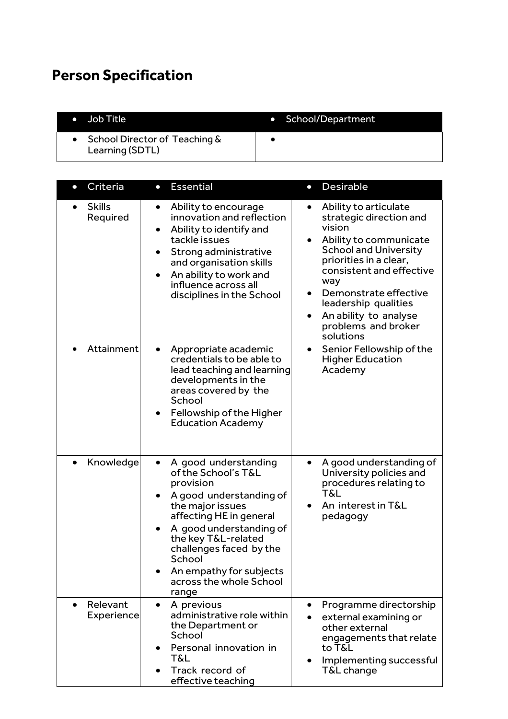# **Person Specification**

| $\bullet$ Job Title                                   | • School/Department |
|-------------------------------------------------------|---------------------|
| • School Director of Teaching $\&$<br>Learning (SDTL) |                     |

| Criteria<br>$\bullet$               | <b>Essential</b><br>$\bullet$                                                                                                                                                                                                                                                            | <b>Desirable</b><br>$\bullet$                                                                                                                                                                                                                                                                                |
|-------------------------------------|------------------------------------------------------------------------------------------------------------------------------------------------------------------------------------------------------------------------------------------------------------------------------------------|--------------------------------------------------------------------------------------------------------------------------------------------------------------------------------------------------------------------------------------------------------------------------------------------------------------|
| <b>Skills</b><br>Required           | Ability to encourage<br>$\bullet$<br>innovation and reflection<br>Ability to identify and<br>tackle issues<br>Strong administrative<br>and organisation skills<br>An ability to work and<br>$\bullet$<br>influence across all<br>disciplines in the School                               | Ability to articulate<br>$\bullet$<br>strategic direction and<br>vision<br>Ability to communicate<br><b>School and University</b><br>priorities in a clear,<br>consistent and effective<br>way<br>Demonstrate effective<br>leadership qualities<br>An ability to analyse<br>problems and broker<br>solutions |
| Attainment                          | Appropriate academic<br>credentials to be able to<br>lead teaching and learning<br>developments in the<br>areas covered by the<br>School<br>Fellowship of the Higher<br>$\bullet$<br><b>Education Academy</b>                                                                            | Senior Fellowship of the<br>$\bullet$<br><b>Higher Education</b><br>Academy                                                                                                                                                                                                                                  |
| Knowledge                           | A good understanding<br>of the School's T&L<br>provision<br>A good understanding of<br>the major issues<br>affecting HE in general<br>A good understanding of<br>the key T&L-related<br>challenges faced by the<br>School<br>An empathy for subjects<br>across the whole School<br>range | A good understanding of<br>University policies and<br>procedures relating to<br>T&L<br>An interest in T&L<br>pedagogy                                                                                                                                                                                        |
| Relevant<br>$\bullet$<br>Experience | A previous<br>$\bullet$<br>administrative role within<br>the Department or<br>School<br>Personal innovation in<br>T&L<br>Track record of<br>effective teaching                                                                                                                           | Programme directorship<br>external examining or<br>other external<br>engagements that relate<br>to T&L<br>Implementing successful<br>٠<br>T&L change                                                                                                                                                         |